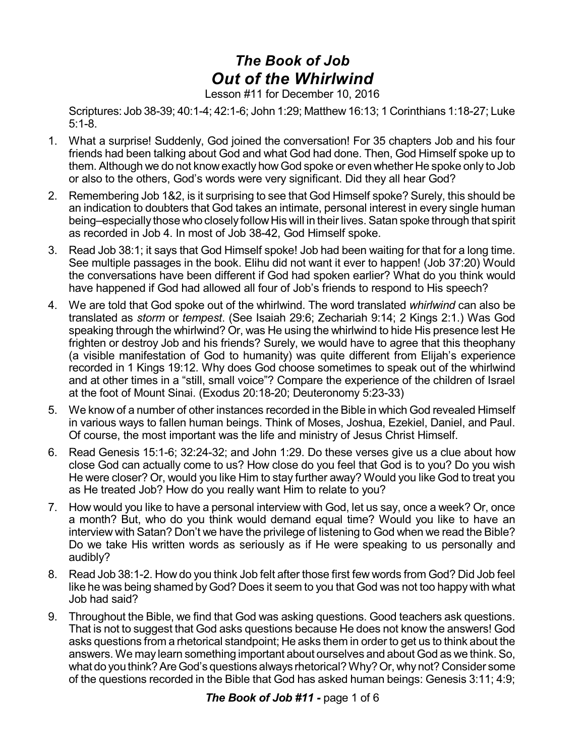## *The Book of Job Out of the Whirlwind*

Lesson #11 for December 10, 2016

Scriptures: Job 38-39; 40:1-4; 42:1-6; John 1:29; Matthew 16:13; 1 Corinthians 1:18-27; Luke 5:1-8.

- 1. What a surprise! Suddenly, God joined the conversation! For 35 chapters Job and his four friends had been talking about God and what God had done. Then, God Himself spoke up to them. Although we do not know exactly how God spoke or even whether He spoke only to Job or also to the others, God's words were very significant. Did they all hear God?
- 2. Remembering Job 1&2, is it surprising to see that God Himself spoke? Surely, this should be an indication to doubters that God takes an intimate, personal interest in every single human being–especially those who closely follow His will in their lives. Satan spoke through that spirit as recorded in Job 4. In most of Job 38-42, God Himself spoke.
- 3. Read Job 38:1; it says that God Himself spoke! Job had been waiting for that for a long time. See multiple passages in the book. Elihu did not want it ever to happen! (Job 37:20) Would the conversations have been different if God had spoken earlier? What do you think would have happened if God had allowed all four of Job's friends to respond to His speech?
- 4. We are told that God spoke out of the whirlwind. The word translated *whirlwind* can also be translated as *storm* or *tempest*. (See Isaiah 29:6; Zechariah 9:14; 2 Kings 2:1.) Was God speaking through the whirlwind? Or, was He using the whirlwind to hide His presence lest He frighten or destroy Job and his friends? Surely, we would have to agree that this theophany (a visible manifestation of God to humanity) was quite different from Elijah's experience recorded in 1 Kings 19:12. Why does God choose sometimes to speak out of the whirlwind and at other times in a "still, small voice"? Compare the experience of the children of Israel at the foot of Mount Sinai. (Exodus 20:18-20; Deuteronomy 5:23-33)
- 5. We know of a number of other instances recorded in the Bible in which God revealed Himself in various ways to fallen human beings. Think of Moses, Joshua, Ezekiel, Daniel, and Paul. Of course, the most important was the life and ministry of Jesus Christ Himself.
- 6. Read Genesis 15:1-6; 32:24-32; and John 1:29. Do these verses give us a clue about how close God can actually come to us? How close do you feel that God is to you? Do you wish He were closer? Or, would you like Him to stay further away? Would you like God to treat you as He treated Job? How do you really want Him to relate to you?
- 7. How would you like to have a personal interview with God, let us say, once a week? Or, once a month? But, who do you think would demand equal time? Would you like to have an interview with Satan? Don't we have the privilege of listening to God when we read the Bible? Do we take His written words as seriously as if He were speaking to us personally and audibly?
- 8. Read Job 38:1-2. How do you think Job felt after those first few words from God? Did Job feel like he was being shamed by God? Does it seem to you that God was not too happy with what Job had said?
- 9. Throughout the Bible, we find that God was asking questions. Good teachers ask questions. That is not to suggest that God asks questions because He does not know the answers! God asks questions from a rhetorical standpoint; He asks them in order to get us to think about the answers. We may learn something important about ourselves and about God as we think.So, what do you think? Are God's questions always rhetorical? Why? Or, why not? Consider some of the questions recorded in the Bible that God has asked human beings: Genesis 3:11; 4:9;

## *The Book of Job #11 -* page 1 of 6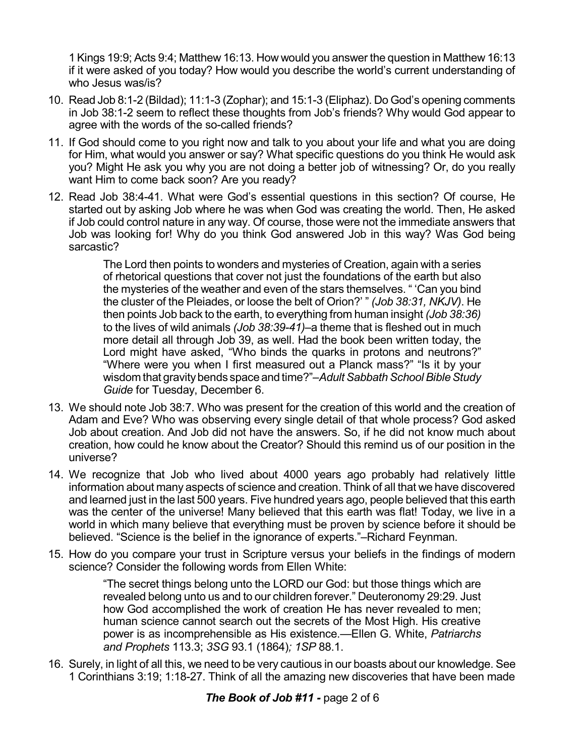1 Kings 19:9; Acts 9:4; Matthew 16:13. How would you answer the question in Matthew 16:13 if it were asked of you today? How would you describe the world's current understanding of who Jesus was/is?

- 10. Read Job 8:1-2 (Bildad); 11:1-3 (Zophar); and 15:1-3 (Eliphaz). Do God's opening comments in Job 38:1-2 seem to reflect these thoughts from Job's friends? Why would God appear to agree with the words of the so-called friends?
- 11. If God should come to you right now and talk to you about your life and what you are doing for Him, what would you answer or say? What specific questions do you think He would ask you? Might He ask you why you are not doing a better job of witnessing? Or, do you really want Him to come back soon? Are you ready?
- 12. Read Job 38:4-41. What were God's essential questions in this section? Of course, He started out by asking Job where he was when God was creating the world. Then, He asked if Job could control nature in any way. Of course, those were not the immediate answers that Job was looking for! Why do you think God answered Job in this way? Was God being sarcastic?

The Lord then points to wonders and mysteries of Creation, again with a series of rhetorical questions that cover not just the foundations of the earth but also the mysteries of the weather and even of the stars themselves. " 'Can you bind the cluster of the Pleiades, or loose the belt of Orion?' " *(Job 38:31, NKJV)*. He then points Job back to the earth, to everything from human insight *(Job 38:36)* to the lives of wild animals *(Job 38:39-41)*–a theme that is fleshed out in much more detail all through Job 39, as well. Had the book been written today, the Lord might have asked, "Who binds the quarks in protons and neutrons?" "Where were you when I first measured out a Planck mass?" "Is it by your wisdom that gravity bends space and time?"-Adult Sabbath School Bible Study *Guide* for Tuesday, December 6.

- 13. We should note Job 38:7. Who was present for the creation of this world and the creation of Adam and Eve? Who was observing every single detail of that whole process? God asked Job about creation. And Job did not have the answers. So, if he did not know much about creation, how could he know about the Creator? Should this remind us of our position in the universe?
- 14. We recognize that Job who lived about 4000 years ago probably had relatively little information about many aspects of science and creation. Think of all that we have discovered and learned just in the last 500 years. Five hundred years ago, people believed that this earth was the center of the universe! Many believed that this earth was flat! Today, we live in a world in which many believe that everything must be proven by science before it should be believed. "Science is the belief in the ignorance of experts."–Richard Feynman.
- 15. How do you compare your trust in Scripture versus your beliefs in the findings of modern science? Consider the following words from Ellen White:

"The secret things belong unto the LORD our God: but those things which are revealed belong unto us and to our children forever." Deuteronomy 29:29. Just how God accomplished the work of creation He has never revealed to men; human science cannot search out the secrets of the Most High. His creative power is as incomprehensible as His existence.—Ellen G. White, *Patriarchs and Prophets* 113.3; *3SG* 93.1 (1864)*; 1SP* 88.1.

16. Surely, in light of all this, we need to be very cautious in our boasts about our knowledge. See 1 Corinthians 3:19; 1:18-27. Think of all the amazing new discoveries that have been made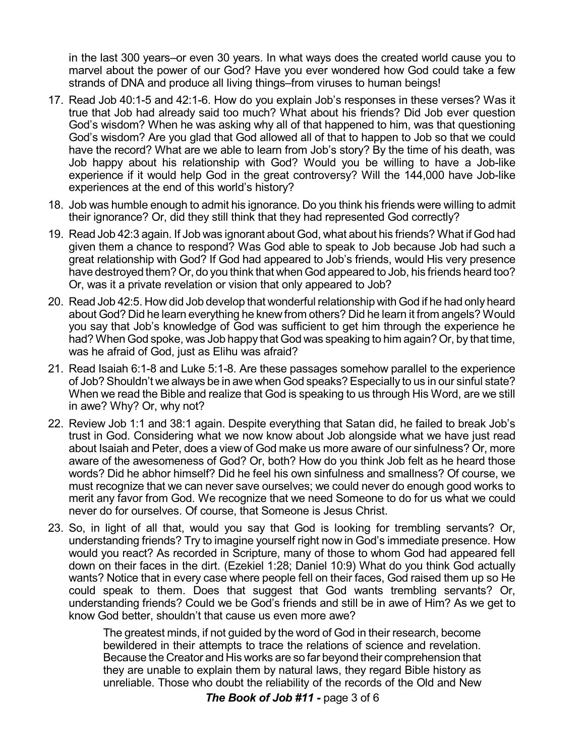in the last 300 years–or even 30 years. In what ways does the created world cause you to marvel about the power of our God? Have you ever wondered how God could take a few strands of DNA and produce all living things–from viruses to human beings!

- 17. Read Job 40:1-5 and 42:1-6. How do you explain Job's responses in these verses? Was it true that Job had already said too much? What about his friends? Did Job ever question God's wisdom? When he was asking why all of that happened to him, was that questioning God's wisdom? Are you glad that God allowed all of that to happen to Job so that we could have the record? What are we able to learn from Job's story? By the time of his death, was Job happy about his relationship with God? Would you be willing to have a Job-like experience if it would help God in the great controversy? Will the 144,000 have Job-like experiences at the end of this world's history?
- 18. Job was humble enough to admit his ignorance. Do you think his friends were willing to admit their ignorance? Or, did they still think that they had represented God correctly?
- 19. Read Job 42:3 again. If Job was ignorant about God, what about his friends? What if God had given them a chance to respond? Was God able to speak to Job because Job had such a great relationship with God? If God had appeared to Job's friends, would His very presence have destroyed them?Or, do you think that when God appeared to Job, his friends heard too? Or, was it a private revelation or vision that only appeared to Job?
- 20. Read Job 42:5. How did Job develop that wonderful relationship with God if he had only heard about God? Did he learn everything he knew from others? Did he learn it from angels? Would you say that Job's knowledge of God was sufficient to get him through the experience he had? When God spoke, was Job happy that God was speaking to him again? Or, by that time, was he afraid of God, just as Elihu was afraid?
- 21. Read Isaiah 6:1-8 and Luke 5:1-8. Are these passages somehow parallel to the experience of Job? Shouldn't we always be in awe when God speaks?Especially to us in our sinful state? When we read the Bible and realize that God is speaking to us through His Word, are we still in awe? Why? Or, why not?
- 22. Review Job 1:1 and 38:1 again. Despite everything that Satan did, he failed to break Job's trust in God. Considering what we now know about Job alongside what we have just read about Isaiah and Peter, does a view of God make us more aware of our sinfulness? Or, more aware of the awesomeness of God? Or, both? How do you think Job felt as he heard those words? Did he abhor himself? Did he feel his own sinfulness and smallness? Of course, we must recognize that we can never save ourselves; we could never do enough good works to merit any favor from God. We recognize that we need Someone to do for us what we could never do for ourselves. Of course, that Someone is Jesus Christ.
- 23. So, in light of all that, would you say that God is looking for trembling servants? Or, understanding friends? Try to imagine yourself right now in God's immediate presence. How would you react? As recorded in Scripture, many of those to whom God had appeared fell down on their faces in the dirt. (Ezekiel 1:28; Daniel 10:9) What do you think God actually wants? Notice that in every case where people fell on their faces, God raised them up so He could speak to them. Does that suggest that God wants trembling servants? Or, understanding friends? Could we be God's friends and still be in awe of Him? As we get to know God better, shouldn't that cause us even more awe?

The greatest minds, if not guided by the word of God in their research, become bewildered in their attempts to trace the relations of science and revelation. Because the Creator and His works are so far beyond their comprehension that they are unable to explain them by natural laws, they regard Bible history as unreliable. Those who doubt the reliability of the records of the Old and New

*The Book of Job #11 -* page 3 of 6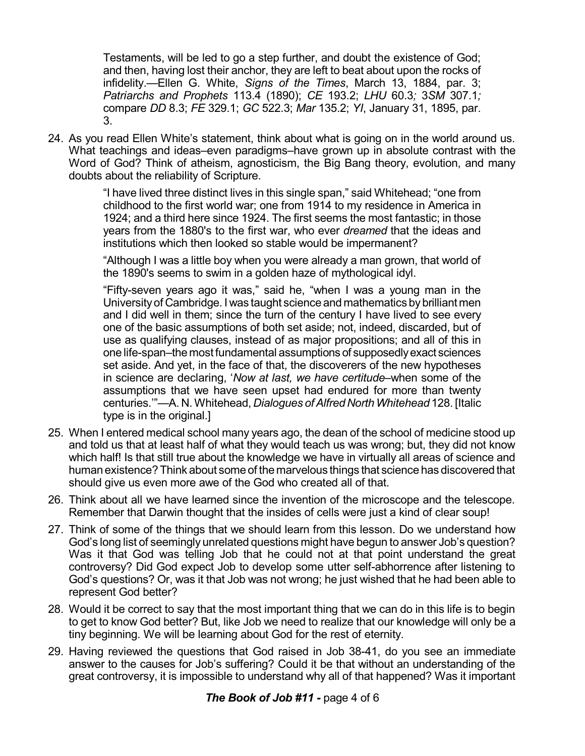Testaments, will be led to go a step further, and doubt the existence of God; and then, having lost their anchor, they are left to beat about upon the rocks of infidelity.—Ellen G. White, *Signs of the Times*, March 13, 1884, par. 3; *Patriarchs and Prophets* 113.4 (1890); *CE* 193.2; *LHU* 60.3*;* 3*SM* 307.1*;* compare *DD* 8.3; *FE* 329.1; *GC* 522.3; *Mar* 135.2; *YI*, January 31, 1895, par. 3.

24. As you read Ellen White's statement, think about what is going on in the world around us. What teachings and ideas–even paradigms–have grown up in absolute contrast with the Word of God? Think of atheism, agnosticism, the Big Bang theory, evolution, and many doubts about the reliability of Scripture.

> "I have lived three distinct lives in this single span," said Whitehead; "one from childhood to the first world war; one from 1914 to my residence in America in 1924; and a third here since 1924. The first seems the most fantastic; in those years from the 1880's to the first war, who ever *dreamed* that the ideas and institutions which then looked so stable would be impermanent?

> "Although I was a little boy when you were already a man grown, that world of the 1890's seems to swim in a golden haze of mythological idyl.

> "Fifty-seven years ago it was," said he, "when I was a young man in the Universityof Cambridge. I was taught science and mathematics bybrilliant men and I did well in them; since the turn of the century I have lived to see every one of the basic assumptions of both set aside; not, indeed, discarded, but of use as qualifying clauses, instead of as major propositions; and all of this in one life-span–the most fundamental assumptions of supposedlyexact sciences set aside. And yet, in the face of that, the discoverers of the new hypotheses in science are declaring, '*Now at last, we have certitude–*when some of the assumptions that we have seen upset had endured for more than twenty centuries.'"—A. N. Whitehead, *Dialogues ofAlfred NorthWhitehead* 128. [Italic type is in the original.

- 25. When I entered medical school many years ago, the dean of the school of medicine stood up and told us that at least half of what they would teach us was wrong; but, they did not know which half! Is that still true about the knowledge we have in virtually all areas of science and human existence?Think about some of the marvelous things that science has discovered that should give us even more awe of the God who created all of that.
- 26. Think about all we have learned since the invention of the microscope and the telescope. Remember that Darwin thought that the insides of cells were just a kind of clear soup!
- 27. Think of some of the things that we should learn from this lesson. Do we understand how God's long list of seemingly unrelated questions might have begun to answer Job's question? Was it that God was telling Job that he could not at that point understand the great controversy? Did God expect Job to develop some utter self-abhorrence after listening to God's questions? Or, was it that Job was not wrong; he just wished that he had been able to represent God better?
- 28. Would it be correct to say that the most important thing that we can do in this life is to begin to get to know God better? But, like Job we need to realize that our knowledge will only be a tiny beginning. We will be learning about God for the rest of eternity.
- 29. Having reviewed the questions that God raised in Job 38-41, do you see an immediate answer to the causes for Job's suffering? Could it be that without an understanding of the great controversy, it is impossible to understand why all of that happened? Was it important

## *The Book of Job #11 -* page 4 of 6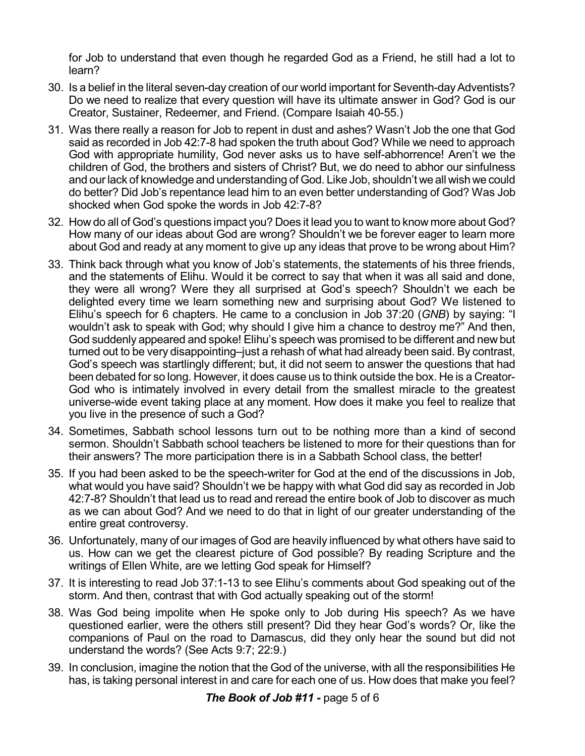for Job to understand that even though he regarded God as a Friend, he still had a lot to learn?

- 30. Is a belief in the literal seven-day creation of our world important for Seventh-day Adventists? Do we need to realize that every question will have its ultimate answer in God? God is our Creator, Sustainer, Redeemer, and Friend. (Compare Isaiah 40-55.)
- 31. Was there really a reason for Job to repent in dust and ashes? Wasn't Job the one that God said as recorded in Job 42:7-8 had spoken the truth about God? While we need to approach God with appropriate humility, God never asks us to have self-abhorrence! Aren't we the children of God, the brothers and sisters of Christ? But, we do need to abhor our sinfulness and ourlack of knowledge and understanding of God. Like Job, shouldn't we all wish we could do better? Did Job's repentance lead him to an even better understanding of God? Was Job shocked when God spoke the words in Job 42:7-8?
- 32. How do all of God's questions impact you? Does it lead you to want to know more about God? How many of our ideas about God are wrong? Shouldn't we be forever eager to learn more about God and ready at any moment to give up any ideas that prove to be wrong about Him?
- 33. Think back through what you know of Job's statements, the statements of his three friends, and the statements of Elihu. Would it be correct to say that when it was all said and done, they were all wrong? Were they all surprised at God's speech? Shouldn't we each be delighted every time we learn something new and surprising about God? We listened to Elihu's speech for 6 chapters. He came to a conclusion in Job 37:20 (*GNB*) by saying: "I wouldn't ask to speak with God; why should I give him a chance to destroy me?" And then, God suddenly appeared and spoke! Elihu's speech was promised to be different and new but turned out to be very disappointing–just a rehash of what had already been said. By contrast, God's speech was startlingly different; but, it did not seem to answer the questions that had been debated for so long. However, it does cause us to think outside the box. He is a Creator-God who is intimately involved in every detail from the smallest miracle to the greatest universe-wide event taking place at any moment. How does it make you feel to realize that you live in the presence of such a God?
- 34. Sometimes, Sabbath school lessons turn out to be nothing more than a kind of second sermon. Shouldn't Sabbath school teachers be listened to more for their questions than for their answers? The more participation there is in a Sabbath School class, the better!
- 35. If you had been asked to be the speech-writer for God at the end of the discussions in Job, what would you have said? Shouldn't we be happy with what God did say as recorded in Job 42:7-8? Shouldn't that lead us to read and reread the entire book of Job to discover as much as we can about God? And we need to do that in light of our greater understanding of the entire great controversy.
- 36. Unfortunately, many of our images of God are heavily influenced by what others have said to us. How can we get the clearest picture of God possible? By reading Scripture and the writings of Ellen White, are we letting God speak for Himself?
- 37. It is interesting to read Job 37:1-13 to see Elihu's comments about God speaking out of the storm. And then, contrast that with God actually speaking out of the storm!
- 38. Was God being impolite when He spoke only to Job during His speech? As we have questioned earlier, were the others still present? Did they hear God's words? Or, like the companions of Paul on the road to Damascus, did they only hear the sound but did not understand the words? (See Acts 9:7; 22:9.)
- 39. In conclusion, imagine the notion that the God of the universe, with all the responsibilities He has, is taking personal interest in and care for each one of us. How does that make you feel?